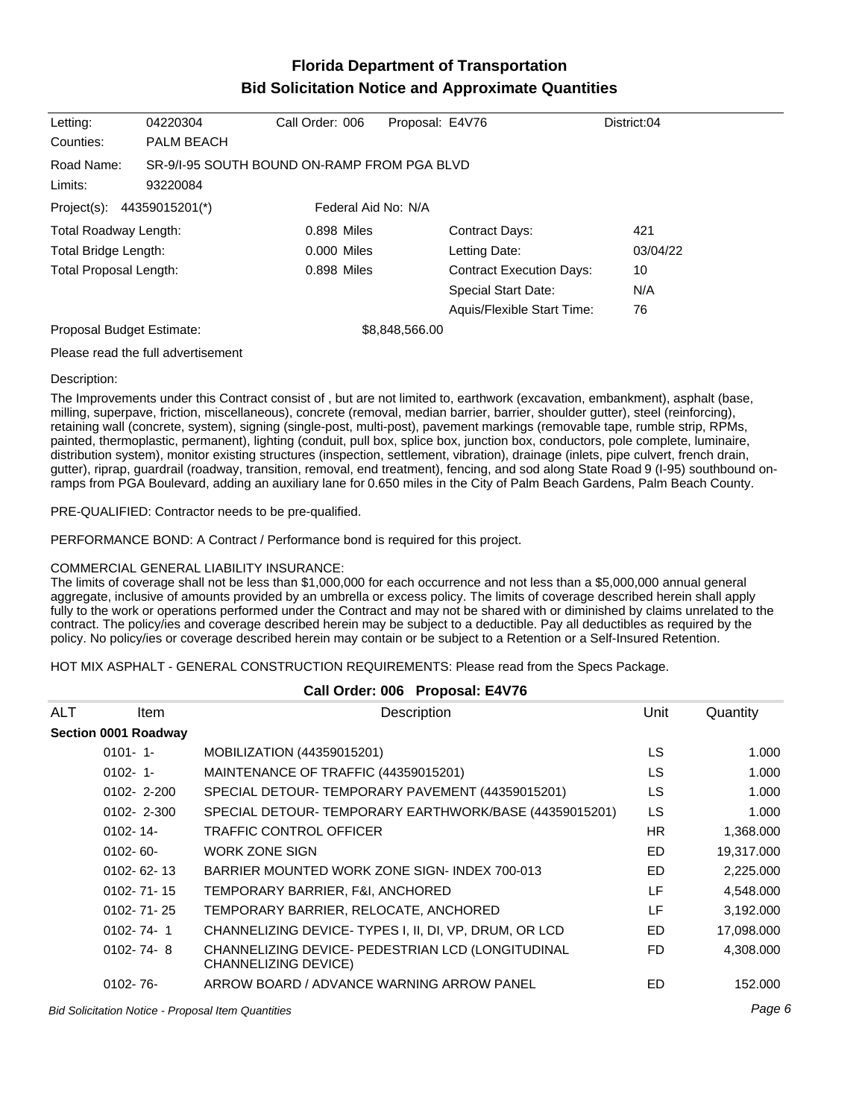# **Florida Department of Transportation Bid Solicitation Notice and Approximate Quantities**

| Letting:                                          | 04220304                                                | Call Order: 006 | Proposal: E4V76 |                                 | District:04 |
|---------------------------------------------------|---------------------------------------------------------|-----------------|-----------------|---------------------------------|-------------|
| Counties:                                         | <b>PALM BEACH</b>                                       |                 |                 |                                 |             |
| Road Name:<br>Limits:                             | SR-9/1-95 SOUTH BOUND ON-RAMP FROM PGA BLVD<br>93220084 |                 |                 |                                 |             |
| Federal Aid No: N/A<br>Project(s): 44359015201(*) |                                                         |                 |                 |                                 |             |
| Total Roadway Length:                             |                                                         | 0.898 Miles     |                 | <b>Contract Days:</b>           | 421         |
| Total Bridge Length:                              |                                                         | $0.000$ Miles   |                 | Letting Date:                   | 03/04/22    |
| <b>Total Proposal Length:</b>                     |                                                         | 0.898 Miles     |                 | <b>Contract Execution Days:</b> | 10          |
|                                                   |                                                         |                 |                 | <b>Special Start Date:</b>      | N/A         |
|                                                   |                                                         |                 |                 | Aquis/Flexible Start Time:      | 76          |
| Proposal Budget Estimate:                         |                                                         | \$8,848,566.00  |                 |                                 |             |
|                                                   |                                                         |                 |                 |                                 |             |

Please read the full advertisement

#### Description:

The Improvements under this Contract consist of , but are not limited to, earthwork (excavation, embankment), asphalt (base, milling, superpave, friction, miscellaneous), concrete (removal, median barrier, barrier, shoulder gutter), steel (reinforcing), retaining wall (concrete, system), signing (single-post, multi-post), pavement markings (removable tape, rumble strip, RPMs, painted, thermoplastic, permanent), lighting (conduit, pull box, splice box, junction box, conductors, pole complete, luminaire, distribution system), monitor existing structures (inspection, settlement, vibration), drainage (inlets, pipe culvert, french drain, gutter), riprap, guardrail (roadway, transition, removal, end treatment), fencing, and sod along State Road 9 (I-95) southbound onramps from PGA Boulevard, adding an auxiliary lane for 0.650 miles in the City of Palm Beach Gardens, Palm Beach County.

PRE-QUALIFIED: Contractor needs to be pre-qualified.

PERFORMANCE BOND: A Contract / Performance bond is required for this project.

### COMMERCIAL GENERAL LIABILITY INSURANCE:

The limits of coverage shall not be less than \$1,000,000 for each occurrence and not less than a \$5,000,000 annual general aggregate, inclusive of amounts provided by an umbrella or excess policy. The limits of coverage described herein shall apply fully to the work or operations performed under the Contract and may not be shared with or diminished by claims unrelated to the contract. The policy/ies and coverage described herein may be subject to a deductible. Pay all deductibles as required by the policy. No policy/ies or coverage described herein may contain or be subject to a Retention or a Self-Insured Retention.

HOT MIX ASPHALT - GENERAL CONSTRUCTION REQUIREMENTS: Please read from the Specs Package.

| Call Order: 006 Proposal: E4V76 |                      |                                                                           |           |            |
|---------------------------------|----------------------|---------------------------------------------------------------------------|-----------|------------|
| <b>ALT</b>                      | ltem                 | Description                                                               | Unit      | Quantity   |
|                                 | Section 0001 Roadway |                                                                           |           |            |
|                                 | $0101 - 1$           | MOBILIZATION (44359015201)                                                | <b>LS</b> | 1.000      |
|                                 | $0102 - 1$           | MAINTENANCE OF TRAFFIC (44359015201)                                      | LS        | 1.000      |
|                                 | $0102 - 2 - 200$     | SPECIAL DETOUR-TEMPORARY PAVEMENT (44359015201)                           | LS        | 1.000      |
|                                 | $0102 - 2 - 300$     | SPECIAL DETOUR-TEMPORARY EARTHWORK/BASE (44359015201)                     | <b>LS</b> | 1.000      |
|                                 | $0102 - 14$          | <b>TRAFFIC CONTROL OFFICER</b>                                            | HR.       | 1,368.000  |
|                                 | $0102 - 60 -$        | <b>WORK ZONE SIGN</b>                                                     | ED        | 19,317.000 |
|                                 | $0102 - 62 - 13$     | BARRIER MOUNTED WORK ZONE SIGN-INDEX 700-013                              | ED        | 2,225.000  |
|                                 | $0102 - 71 - 15$     | TEMPORARY BARRIER, F&I, ANCHORED                                          | LF        | 4,548.000  |
|                                 | $0102 - 71 - 25$     | TEMPORARY BARRIER, RELOCATE, ANCHORED                                     | LF        | 3,192.000  |
|                                 | $0102 - 74 - 1$      | CHANNELIZING DEVICE-TYPES I, II, DI, VP, DRUM, OR LCD                     | ED        | 17,098.000 |
|                                 | $0102 - 74 - 8$      | CHANNELIZING DEVICE- PEDESTRIAN LCD (LONGITUDINAL<br>CHANNELIZING DEVICE) | FD.       | 4,308.000  |
|                                 | $0102 - 76 -$        | ARROW BOARD / ADVANCE WARNING ARROW PANEL                                 | ED        | 152,000    |
|                                 |                      |                                                                           |           |            |

Bid Solicitation Notice - Proposal Item Quantities Page 6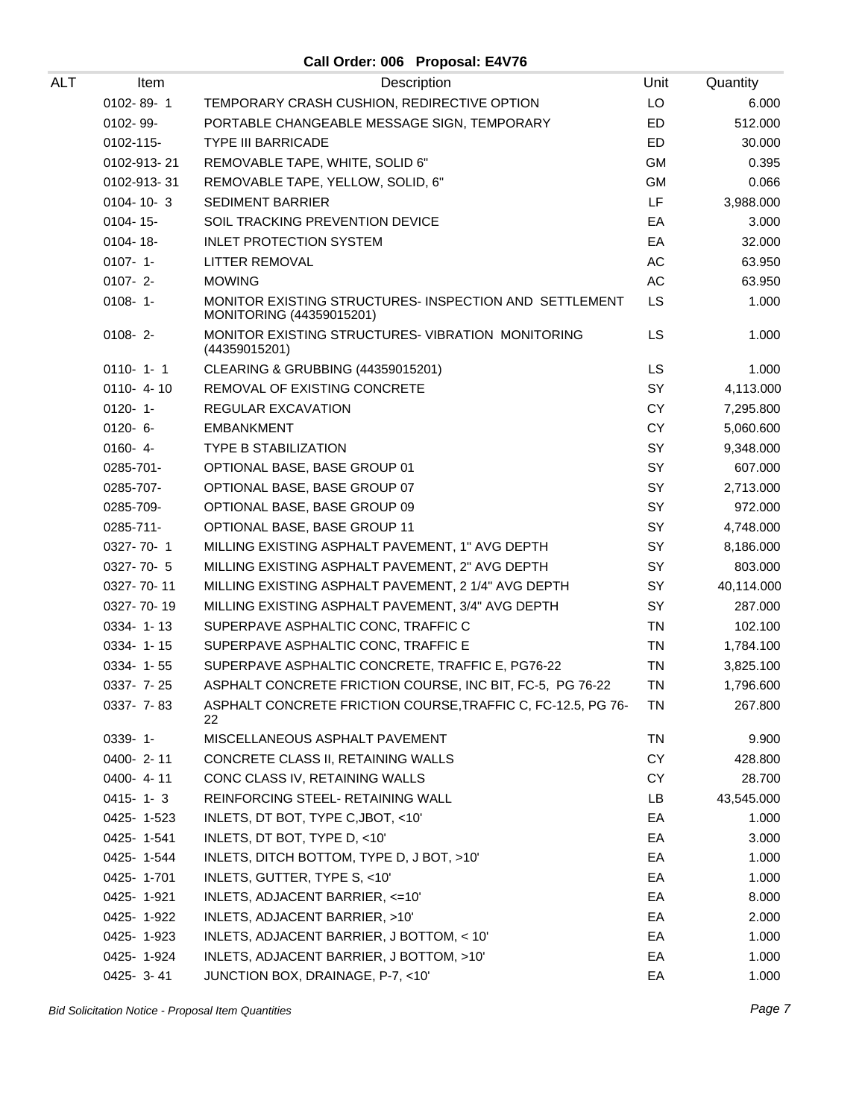**Call Order: 006 Proposal: E4V76**

| ALT | Item            | Description                                                                        | Unit      | Quantity   |
|-----|-----------------|------------------------------------------------------------------------------------|-----------|------------|
|     | 0102-89-1       | TEMPORARY CRASH CUSHION, REDIRECTIVE OPTION                                        | LO        | 6.000      |
|     | 0102-99-        | PORTABLE CHANGEABLE MESSAGE SIGN, TEMPORARY                                        | ED        | 512.000    |
|     | 0102-115-       | <b>TYPE III BARRICADE</b>                                                          | ED        | 30.000     |
|     | 0102-913-21     | REMOVABLE TAPE, WHITE, SOLID 6"                                                    | <b>GM</b> | 0.395      |
|     | 0102-913-31     | REMOVABLE TAPE, YELLOW, SOLID, 6"                                                  | <b>GM</b> | 0.066      |
|     | $0104 - 10 - 3$ | <b>SEDIMENT BARRIER</b>                                                            | LF        | 3,988.000  |
|     | $0104 - 15$ -   | SOIL TRACKING PREVENTION DEVICE                                                    | EA        | 3.000      |
|     | $0104 - 18 -$   | <b>INLET PROTECTION SYSTEM</b>                                                     | EA        | 32.000     |
|     | $0107 - 1 -$    | LITTER REMOVAL                                                                     | AC        | 63.950     |
|     | $0107 - 2$      | <b>MOWING</b>                                                                      | AC        | 63.950     |
|     | $0108 - 1$      | MONITOR EXISTING STRUCTURES- INSPECTION AND SETTLEMENT<br>MONITORING (44359015201) | <b>LS</b> | 1.000      |
|     | $0108 - 2$      | MONITOR EXISTING STRUCTURES-VIBRATION MONITORING<br>(44359015201)                  | <b>LS</b> | 1.000      |
|     | $0110 - 1 - 1$  | CLEARING & GRUBBING (44359015201)                                                  | <b>LS</b> | 1.000      |
|     | $0110 - 4 - 10$ | REMOVAL OF EXISTING CONCRETE                                                       | SY        | 4,113.000  |
|     | $0120 - 1$      | <b>REGULAR EXCAVATION</b>                                                          | <b>CY</b> | 7,295.800  |
|     | $0120 - 6 -$    | <b>EMBANKMENT</b>                                                                  | <b>CY</b> | 5,060.600  |
|     | $0160 - 4 -$    | <b>TYPE B STABILIZATION</b>                                                        | SY        | 9,348.000  |
|     | 0285-701-       | OPTIONAL BASE, BASE GROUP 01                                                       | SY        | 607.000    |
|     | 0285-707-       | OPTIONAL BASE, BASE GROUP 07                                                       | SY        | 2,713.000  |
|     | 0285-709-       | OPTIONAL BASE, BASE GROUP 09                                                       | SY        | 972.000    |
|     | 0285-711-       | OPTIONAL BASE, BASE GROUP 11                                                       | SY        | 4,748.000  |
|     | $0327 - 70 - 1$ | MILLING EXISTING ASPHALT PAVEMENT, 1" AVG DEPTH                                    | SY        | 8,186.000  |
|     | 0327-70-5       | MILLING EXISTING ASPHALT PAVEMENT, 2" AVG DEPTH                                    | SY        | 803.000    |
|     | 0327-70-11      | MILLING EXISTING ASPHALT PAVEMENT, 2 1/4" AVG DEPTH                                | SY        | 40,114.000 |
|     | 0327-70-19      | MILLING EXISTING ASPHALT PAVEMENT, 3/4" AVG DEPTH                                  | SY        | 287.000    |
|     | 0334-1-13       | SUPERPAVE ASPHALTIC CONC, TRAFFIC C                                                | TN        | 102.100    |
|     | $0334 - 1 - 15$ | SUPERPAVE ASPHALTIC CONC, TRAFFIC E                                                | <b>TN</b> | 1,784.100  |
|     | $0334 - 1 - 55$ | SUPERPAVE ASPHALTIC CONCRETE, TRAFFIC E, PG76-22                                   | <b>TN</b> | 3,825.100  |
|     | 0337- 7-25      | ASPHALT CONCRETE FRICTION COURSE, INC BIT, FC-5, PG 76-22                          | <b>TN</b> | 1,796.600  |
|     | $0337 - 7 - 83$ | ASPHALT CONCRETE FRICTION COURSE, TRAFFIC C, FC-12.5, PG 76-<br>22                 | TN        | 267.800    |
|     | $0339 - 1 -$    | MISCELLANEOUS ASPHALT PAVEMENT                                                     | TN        | 9.900      |
|     | 0400-2-11       | CONCRETE CLASS II, RETAINING WALLS                                                 | СY        | 428.800    |
|     | 0400-4-11       | CONC CLASS IV, RETAINING WALLS                                                     | CY        | 28.700     |
|     | $0415 - 1 - 3$  | REINFORCING STEEL- RETAINING WALL                                                  | LB        | 43,545.000 |
|     | 0425-1-523      | INLETS, DT BOT, TYPE C, JBOT, <10'                                                 | EA        | 1.000      |
|     | 0425-1-541      | INLETS, DT BOT, TYPE D, <10'                                                       | EA        | 3.000      |
|     | 0425-1-544      | INLETS, DITCH BOTTOM, TYPE D, J BOT, >10'                                          | EA        | 1.000      |
|     | 0425-1-701      | INLETS, GUTTER, TYPE S, <10'                                                       | EA        | 1.000      |
|     | 0425-1-921      | INLETS, ADJACENT BARRIER, <= 10'                                                   | EA        | 8.000      |
|     | 0425-1-922      | INLETS, ADJACENT BARRIER, >10'                                                     | EA        | 2.000      |
|     | 0425-1-923      | INLETS, ADJACENT BARRIER, J BOTTOM, < 10'                                          | EA        | 1.000      |
|     | 0425-1-924      | INLETS, ADJACENT BARRIER, J BOTTOM, >10'                                           | EA        | 1.000      |
|     | 0425-3-41       | JUNCTION BOX, DRAINAGE, P-7, <10'                                                  | EA        | 1.000      |

Bid Solicitation Notice - Proposal Item Quantities **Page 7** and the set of the set of the set of the set of the set of the set of the set of the set of the set of the set of the set of the set of the set of the set of the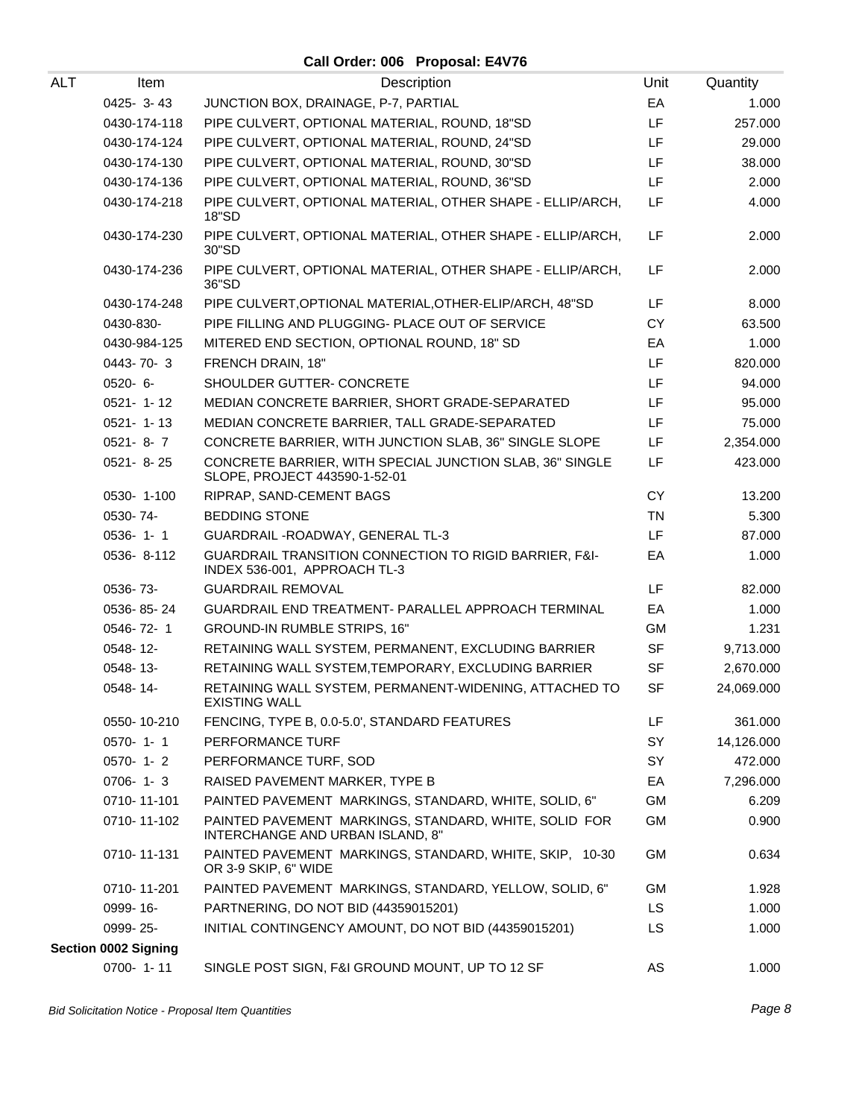# **Call Order: 006 Proposal: E4V76**

| ALT | Item                        | Description                                                                                       | Unit      | Quantity   |
|-----|-----------------------------|---------------------------------------------------------------------------------------------------|-----------|------------|
|     | 0425-3-43                   | JUNCTION BOX, DRAINAGE, P-7, PARTIAL                                                              | EA        | 1.000      |
|     | 0430-174-118                | PIPE CULVERT, OPTIONAL MATERIAL, ROUND, 18"SD                                                     | LF        | 257.000    |
|     | 0430-174-124                | PIPE CULVERT, OPTIONAL MATERIAL, ROUND, 24"SD                                                     | LF.       | 29.000     |
|     | 0430-174-130                | PIPE CULVERT, OPTIONAL MATERIAL, ROUND, 30"SD                                                     | LF.       | 38.000     |
|     | 0430-174-136                | PIPE CULVERT, OPTIONAL MATERIAL, ROUND, 36"SD                                                     | LF.       | 2.000      |
|     | 0430-174-218                | PIPE CULVERT, OPTIONAL MATERIAL, OTHER SHAPE - ELLIP/ARCH,<br>18"SD                               | LF        | 4.000      |
|     | 0430-174-230                | PIPE CULVERT, OPTIONAL MATERIAL, OTHER SHAPE - ELLIP/ARCH,<br>30"SD                               | LF.       | 2.000      |
|     | 0430-174-236                | PIPE CULVERT, OPTIONAL MATERIAL, OTHER SHAPE - ELLIP/ARCH,<br>36"SD                               | LF.       | 2.000      |
|     | 0430-174-248                | PIPE CULVERT, OPTIONAL MATERIAL, OTHER-ELIP/ARCH, 48"SD                                           | LF.       | 8.000      |
|     | 0430-830-                   | PIPE FILLING AND PLUGGING- PLACE OUT OF SERVICE                                                   | <b>CY</b> | 63.500     |
|     | 0430-984-125                | MITERED END SECTION, OPTIONAL ROUND, 18" SD                                                       | EA        | 1.000      |
|     | 0443-70-3                   | FRENCH DRAIN, 18"                                                                                 | LF.       | 820.000    |
|     | $0520 - 6 -$                | SHOULDER GUTTER- CONCRETE                                                                         | LF.       | 94.000     |
|     | $0521 - 1 - 12$             | MEDIAN CONCRETE BARRIER, SHORT GRADE-SEPARATED                                                    | LF.       | 95.000     |
|     | $0521 - 1 - 13$             | MEDIAN CONCRETE BARRIER, TALL GRADE-SEPARATED                                                     | LF.       | 75.000     |
|     | $0521 - 8 - 7$              | CONCRETE BARRIER, WITH JUNCTION SLAB, 36" SINGLE SLOPE                                            | LF.       | 2,354.000  |
|     | $0521 - 8 - 25$             | CONCRETE BARRIER, WITH SPECIAL JUNCTION SLAB, 36" SINGLE<br>SLOPE, PROJECT 443590-1-52-01         | LF        | 423.000    |
|     | 0530-1-100                  | RIPRAP, SAND-CEMENT BAGS                                                                          | <b>CY</b> | 13.200     |
|     | 0530-74-                    | <b>BEDDING STONE</b>                                                                              | <b>TN</b> | 5.300      |
|     | $0536 - 1 - 1$              | GUARDRAIL - ROADWAY, GENERAL TL-3                                                                 | LF.       | 87.000     |
|     | 0536-8-112                  | <b>GUARDRAIL TRANSITION CONNECTION TO RIGID BARRIER, F&amp;I-</b><br>INDEX 536-001, APPROACH TL-3 | EA        | 1.000      |
|     | 0536-73-                    | <b>GUARDRAIL REMOVAL</b>                                                                          | LF        | 82.000     |
|     | 0536-85-24                  | GUARDRAIL END TREATMENT- PARALLEL APPROACH TERMINAL                                               | EA        | 1.000      |
|     | 0546-72-1                   | <b>GROUND-IN RUMBLE STRIPS, 16"</b>                                                               | GM        | 1.231      |
|     | 0548-12-                    | RETAINING WALL SYSTEM, PERMANENT, EXCLUDING BARRIER                                               | <b>SF</b> | 9,713.000  |
|     | 0548-13-                    | RETAINING WALL SYSTEM, TEMPORARY, EXCLUDING BARRIER                                               | <b>SF</b> | 2,670.000  |
|     | 0548-14-                    | RETAINING WALL SYSTEM, PERMANENT-WIDENING, ATTACHED TO<br><b>EXISTING WALL</b>                    | SF        | 24,069.000 |
|     | 0550-10-210                 | FENCING, TYPE B, 0.0-5.0', STANDARD FEATURES                                                      | LF        | 361.000    |
|     | 0570-1-1                    | PERFORMANCE TURF                                                                                  | SY        | 14,126.000 |
|     | $0570 - 1 - 2$              | PERFORMANCE TURF, SOD                                                                             | SY        | 472.000    |
|     | $0706 - 1 - 3$              | RAISED PAVEMENT MARKER, TYPE B                                                                    | EA        | 7,296.000  |
|     | 0710-11-101                 | PAINTED PAVEMENT MARKINGS, STANDARD, WHITE, SOLID, 6"                                             | GM        | 6.209      |
|     | 0710-11-102                 | PAINTED PAVEMENT MARKINGS, STANDARD, WHITE, SOLID FOR<br>INTERCHANGE AND URBAN ISLAND, 8"         | GM        | 0.900      |
|     | 0710-11-131                 | PAINTED PAVEMENT MARKINGS, STANDARD, WHITE, SKIP, 10-30<br>OR 3-9 SKIP, 6" WIDE                   | GM        | 0.634      |
|     | 0710-11-201                 | PAINTED PAVEMENT MARKINGS, STANDARD, YELLOW, SOLID, 6"                                            | GM        | 1.928      |
|     | 0999-16-                    | PARTNERING, DO NOT BID (44359015201)                                                              | LS.       | 1.000      |
|     | 0999-25-                    | INITIAL CONTINGENCY AMOUNT, DO NOT BID (44359015201)                                              | LS.       | 1.000      |
|     | <b>Section 0002 Signing</b> |                                                                                                   |           |            |
|     | 0700-1-11                   | SINGLE POST SIGN, F&I GROUND MOUNT, UP TO 12 SF                                                   | AS        | 1.000      |